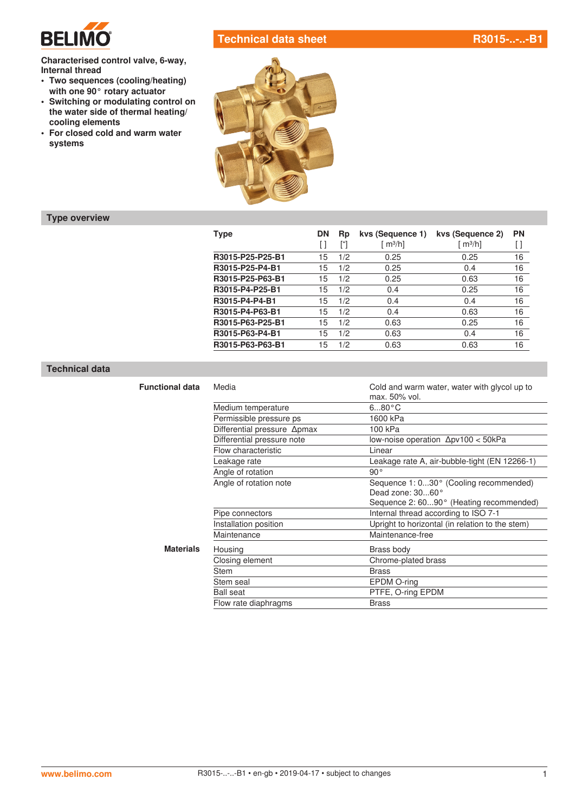

**Characterised control valve, 6-way, Internal thread**

- **• Two sequences (cooling/heating) with one 90° rotary actuator**
- **• Switching or modulating control on the water side of thermal heating/ cooling elements**
- **• For closed cold and warm water systems**



# **Type overview**

| <b>Type</b>      | <b>DN</b><br>$\mathsf{L}$ | Rp  | kys (Sequence 1)<br>$\lceil m^3/h \rceil$ | kvs (Sequence 2)<br>[ $m^3/h$ ] | <b>PN</b><br>U |
|------------------|---------------------------|-----|-------------------------------------------|---------------------------------|----------------|
| R3015-P25-P25-B1 | 15                        | 1/2 | 0.25                                      | 0.25                            | 16             |
| R3015-P25-P4-B1  | 15                        | 1/2 | 0.25                                      | 0.4                             | 16             |
| R3015-P25-P63-B1 | 15                        | 1/2 | 0.25                                      | 0.63                            | 16             |
| R3015-P4-P25-B1  | 15                        | 1/2 | 0.4                                       | 0.25                            | 16             |
| R3015-P4-P4-B1   | 15                        | 1/2 | 0.4                                       | 0.4                             | 16             |
| R3015-P4-P63-B1  | 15                        | 1/2 | 0.4                                       | 0.63                            | 16             |
| R3015-P63-P25-B1 | 15                        | 1/2 | 0.63                                      | 0.25                            | 16             |
| R3015-P63-P4-B1  | 15                        | 1/2 | 0.63                                      | 0.4                             | 16             |
| R3015-P63-P63-B1 | 15                        | 1/2 | 0.63                                      | 0.63                            | 16             |

### **Technical data**

| <b>Functional data</b> | Media                       | Cold and warm water, water with glycol up to<br>max. 50% vol. |  |  |  |  |  |
|------------------------|-----------------------------|---------------------------------------------------------------|--|--|--|--|--|
|                        | Medium temperature          | $680^{\circ}$ C                                               |  |  |  |  |  |
|                        | Permissible pressure ps     | 1600 kPa                                                      |  |  |  |  |  |
|                        | Differential pressure ∆pmax | 100 kPa                                                       |  |  |  |  |  |
|                        | Differential pressure note  | low-noise operation $\Delta$ pv100 < 50kPa                    |  |  |  |  |  |
|                        | Flow characteristic         | Linear                                                        |  |  |  |  |  |
|                        | Leakage rate                | Leakage rate A, air-bubble-tight (EN 12266-1)                 |  |  |  |  |  |
|                        | Angle of rotation           | $90^{\circ}$                                                  |  |  |  |  |  |
|                        | Angle of rotation note      | Sequence 1: 030° (Cooling recommended)<br>Dead zone: 3060°    |  |  |  |  |  |
|                        |                             | Sequence 2: 6090° (Heating recommended)                       |  |  |  |  |  |
|                        | Pipe connectors             | Internal thread according to ISO 7-1                          |  |  |  |  |  |
|                        | Installation position       | Upright to horizontal (in relation to the stem)               |  |  |  |  |  |
|                        | Maintenance                 | Maintenance-free                                              |  |  |  |  |  |
| <b>Materials</b>       | Housing                     | Brass body                                                    |  |  |  |  |  |
|                        | Closing element             | Chrome-plated brass                                           |  |  |  |  |  |
|                        | Stem                        | <b>Brass</b>                                                  |  |  |  |  |  |
|                        | Stem seal                   | EPDM O-ring                                                   |  |  |  |  |  |
|                        | <b>Ball seat</b>            | PTFE, O-ring EPDM                                             |  |  |  |  |  |
|                        | Flow rate diaphragms        | <b>Brass</b>                                                  |  |  |  |  |  |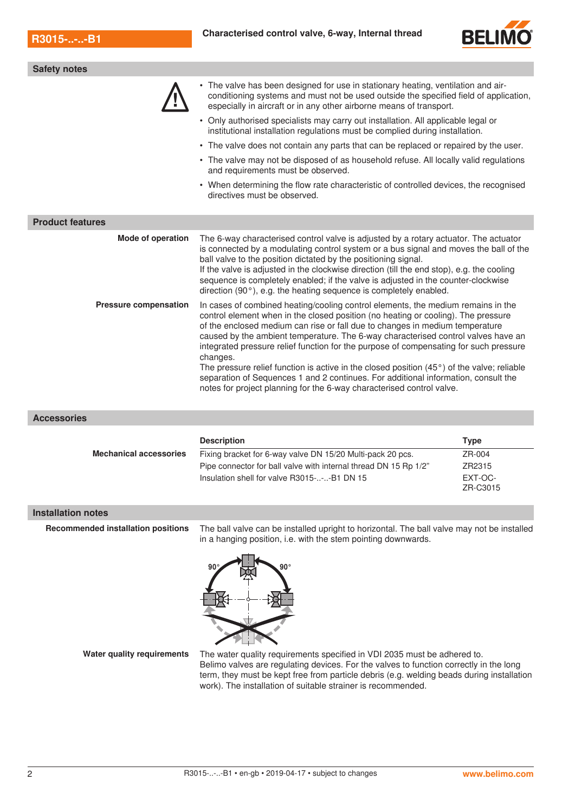

| <b>Safety notes</b>          |                                                                                                                                                                                                                                                                                                                                                                                                                                                                                                                                                                                                                                                                                                                       |  |  |  |  |
|------------------------------|-----------------------------------------------------------------------------------------------------------------------------------------------------------------------------------------------------------------------------------------------------------------------------------------------------------------------------------------------------------------------------------------------------------------------------------------------------------------------------------------------------------------------------------------------------------------------------------------------------------------------------------------------------------------------------------------------------------------------|--|--|--|--|
|                              | • The valve has been designed for use in stationary heating, ventilation and air-<br>conditioning systems and must not be used outside the specified field of application,<br>especially in aircraft or in any other airborne means of transport.                                                                                                                                                                                                                                                                                                                                                                                                                                                                     |  |  |  |  |
|                              | • Only authorised specialists may carry out installation. All applicable legal or<br>institutional installation regulations must be complied during installation.                                                                                                                                                                                                                                                                                                                                                                                                                                                                                                                                                     |  |  |  |  |
|                              | • The valve does not contain any parts that can be replaced or repaired by the user.                                                                                                                                                                                                                                                                                                                                                                                                                                                                                                                                                                                                                                  |  |  |  |  |
|                              | • The valve may not be disposed of as household refuse. All locally valid regulations<br>and requirements must be observed.                                                                                                                                                                                                                                                                                                                                                                                                                                                                                                                                                                                           |  |  |  |  |
|                              | • When determining the flow rate characteristic of controlled devices, the recognised<br>directives must be observed.                                                                                                                                                                                                                                                                                                                                                                                                                                                                                                                                                                                                 |  |  |  |  |
| <b>Product features</b>      |                                                                                                                                                                                                                                                                                                                                                                                                                                                                                                                                                                                                                                                                                                                       |  |  |  |  |
| <b>Mode of operation</b>     | The 6-way characterised control valve is adjusted by a rotary actuator. The actuator<br>is connected by a modulating control system or a bus signal and moves the ball of the<br>ball valve to the position dictated by the positioning signal.<br>If the valve is adjusted in the clockwise direction (till the end stop), e.g. the cooling<br>sequence is completely enabled; if the valve is adjusted in the counter-clockwise<br>direction $(90^{\circ})$ , e.g. the heating sequence is completely enabled.                                                                                                                                                                                                      |  |  |  |  |
| <b>Pressure compensation</b> | In cases of combined heating/cooling control elements, the medium remains in the<br>control element when in the closed position (no heating or cooling). The pressure<br>of the enclosed medium can rise or fall due to changes in medium temperature<br>caused by the ambient temperature. The 6-way characterised control valves have an<br>integrated pressure relief function for the purpose of compensating for such pressure<br>changes.<br>The pressure relief function is active in the closed position $(45^{\circ})$ of the valve; reliable<br>separation of Sequences 1 and 2 continues. For additional information, consult the<br>notes for project planning for the 6-way characterised control valve. |  |  |  |  |

**Accessories**

|                               | <b>Description</b>                                               | Type                |
|-------------------------------|------------------------------------------------------------------|---------------------|
| <b>Mechanical accessories</b> | Fixing bracket for 6-way valve DN 15/20 Multi-pack 20 pcs.       | ZR-004              |
|                               | Pipe connector for ball valve with internal thread DN 15 Rp 1/2" | ZR2315              |
|                               | Insulation shell for valve R3015---B1 DN 15                      | EXT-OC-<br>ZR-C3015 |

### **Installation notes**

**Recommended installation positions** The ball valve can be installed upright to horizontal. The ball valve may not be installed in a hanging position, i.e. with the stem pointing downwards.



**Water quality requirements** The water quality requirements specified in VDI 2035 must be adhered to. Belimo valves are regulating devices. For the valves to function correctly in the long term, they must be kept free from particle debris (e.g. welding beads during installation work). The installation of suitable strainer is recommended.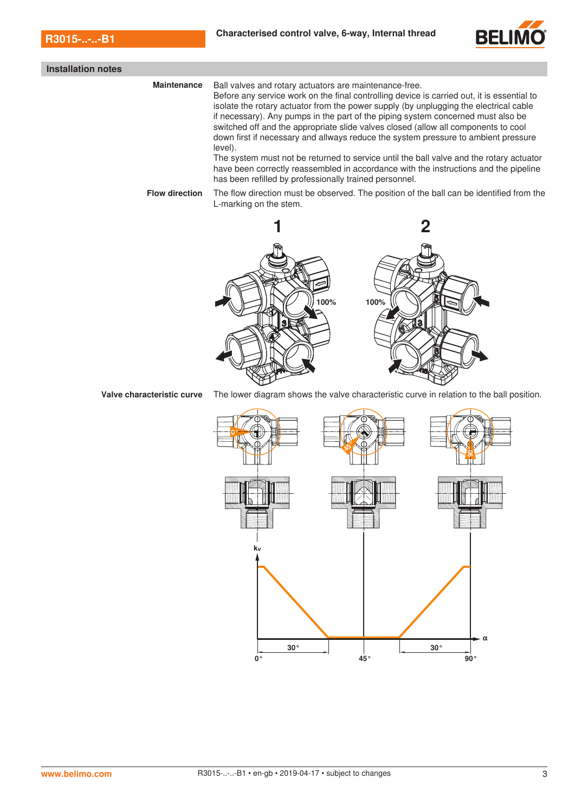

|  |  | Installation notes |
|--|--|--------------------|
|--|--|--------------------|

**Maintenance** Ball valves and rotary actuators are maintenance-free. Before any service work on the final controlling device is carried out, it is essential to isolate the rotary actuator from the power supply (by unplugging the electrical cable if necessary). Any pumps in the part of the piping system concerned must also be switched off and the appropriate slide valves closed (allow all components to cool down first if necessary and allways reduce the system pressure to ambient pressure level). The system must not be returned to service until the ball valve and the rotary actuator have been correctly reassembled in accordance with the instructions and the pipeline has been refilled by professionally trained personnel. **Flow direction** The flow direction must be observed. The position of the ball can be identified from the

L-marking on the stem.



**Valve characteristic curve** The lower diagram shows the valve characteristic curve in relation to the ball position.